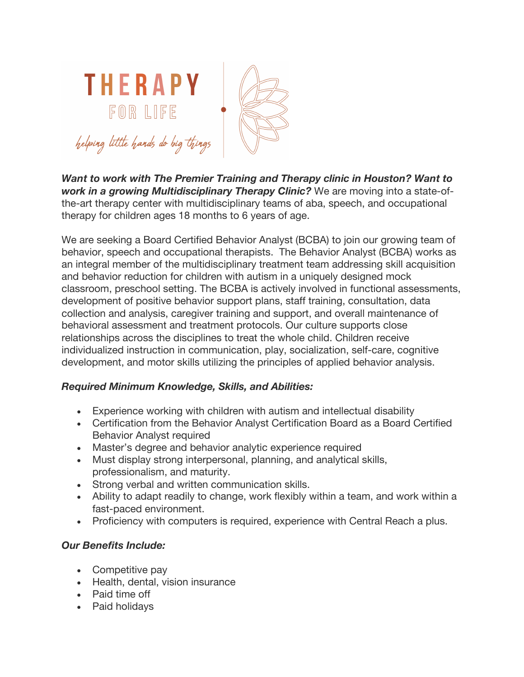

*Want to work with The Premier Training and Therapy clinic in Houston? Want to work in a growing Multidisciplinary Therapy Clinic?* We are moving into a state-ofthe-art therapy center with multidisciplinary teams of aba, speech, and occupational therapy for children ages 18 months to 6 years of age.

We are seeking a Board Certified Behavior Analyst (BCBA) to join our growing team of behavior, speech and occupational therapists. The Behavior Analyst (BCBA) works as an integral member of the multidisciplinary treatment team addressing skill acquisition and behavior reduction for children with autism in a uniquely designed mock classroom, preschool setting. The BCBA is actively involved in functional assessments, development of positive behavior support plans, staff training, consultation, data collection and analysis, caregiver training and support, and overall maintenance of behavioral assessment and treatment protocols. Our culture supports close relationships across the disciplines to treat the whole child. Children receive individualized instruction in communication, play, socialization, self-care, cognitive development, and motor skills utilizing the principles of applied behavior analysis.

## *Required Minimum Knowledge, Skills, and Abilities:*

- Experience working with children with autism and intellectual disability
- Certification from the Behavior Analyst Certification Board as a Board Certified Behavior Analyst required
- Master's degree and behavior analytic experience required
- Must display strong interpersonal, planning, and analytical skills, professionalism, and maturity.
- Strong verbal and written communication skills.
- Ability to adapt readily to change, work flexibly within a team, and work within a fast-paced environment.
- Proficiency with computers is required, experience with Central Reach a plus.

## *Our Benefits Include:*

- Competitive pay
- Health, dental, vision insurance
- Paid time off
- Paid holidays